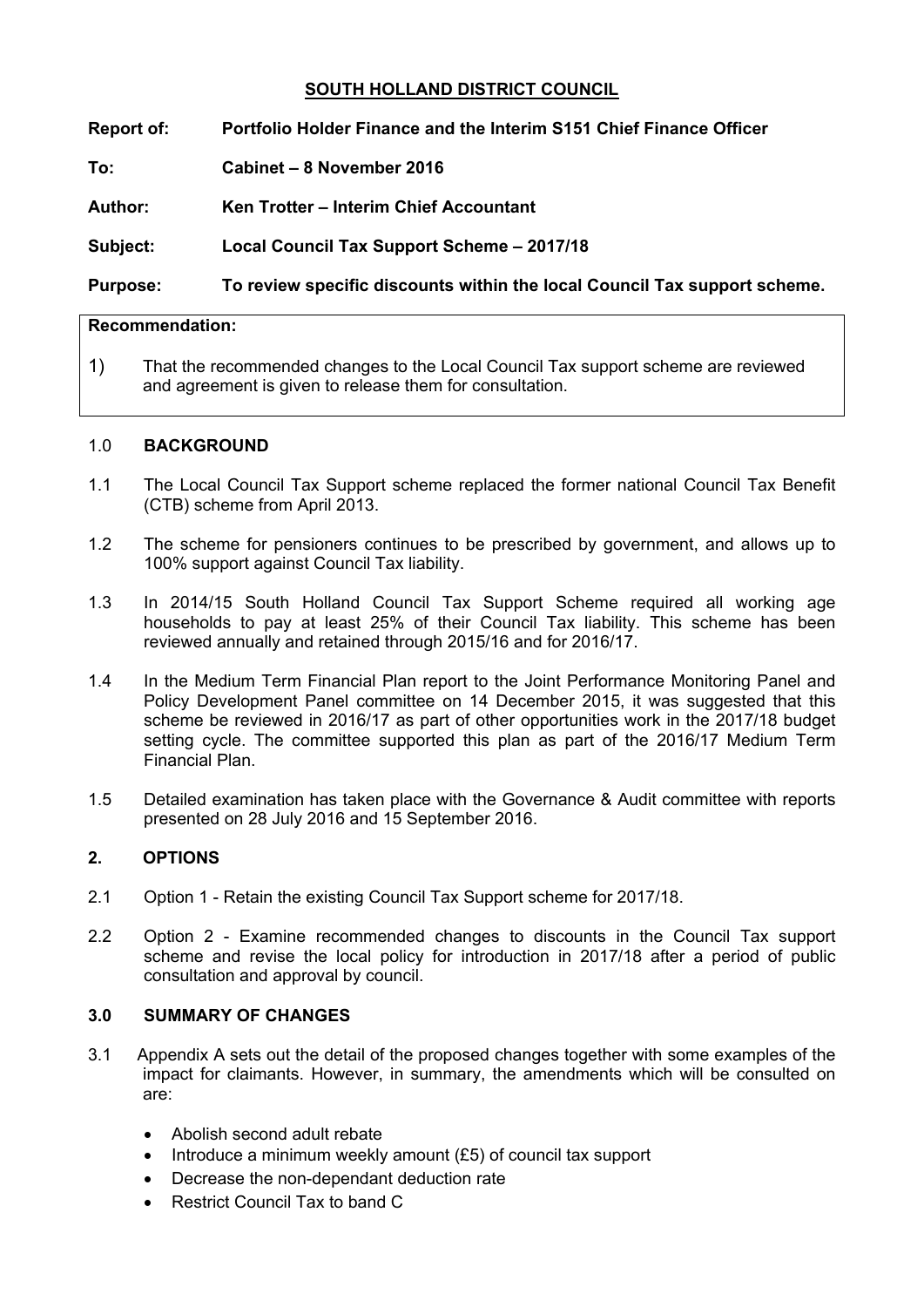# **SOUTH HOLLAND DISTRICT COUNCIL**

**Report of: Portfolio Holder Finance and the Interim S151 Chief Finance Officer**

**To: Cabinet – 8 November 2016**

**Author: Ken Trotter – Interim Chief Accountant**

**Subject: Local Council Tax Support Scheme – 2017/18**

# **Purpose: To review specific discounts within the local Council Tax support scheme.**

## **Recommendation:**

1) That the recommended changes to the Local Council Tax support scheme are reviewed and agreement is given to release them for consultation.

### 1.0 **BACKGROUND**

- 1.1 The Local Council Tax Support scheme replaced the former national Council Tax Benefit (CTB) scheme from April 2013.
- 1.2 The scheme for pensioners continues to be prescribed by government, and allows up to 100% support against Council Tax liability.
- 1.3 In 2014/15 South Holland Council Tax Support Scheme required all working age households to pay at least 25% of their Council Tax liability. This scheme has been reviewed annually and retained through 2015/16 and for 2016/17.
- 1.4 In the Medium Term Financial Plan report to the Joint Performance Monitoring Panel and Policy Development Panel committee on 14 December 2015, it was suggested that this scheme be reviewed in 2016/17 as part of other opportunities work in the 2017/18 budget setting cycle. The committee supported this plan as part of the 2016/17 Medium Term Financial Plan.
- 1.5 Detailed examination has taken place with the Governance & Audit committee with reports presented on 28 July 2016 and 15 September 2016.

### **2. OPTIONS**

- 2.1 Option 1 Retain the existing Council Tax Support scheme for 2017/18.
- 2.2 Option 2 Examine recommended changes to discounts in the Council Tax support scheme and revise the local policy for introduction in 2017/18 after a period of public consultation and approval by council.

# **3.0 SUMMARY OF CHANGES**

- 3.1 Appendix A sets out the detail of the proposed changes together with some examples of the impact for claimants. However, in summary, the amendments which will be consulted on are:
	- Abolish second adult rebate
	- Introduce a minimum weekly amount (£5) of council tax support
	- Decrease the non-dependant deduction rate
	- Restrict Council Tax to band C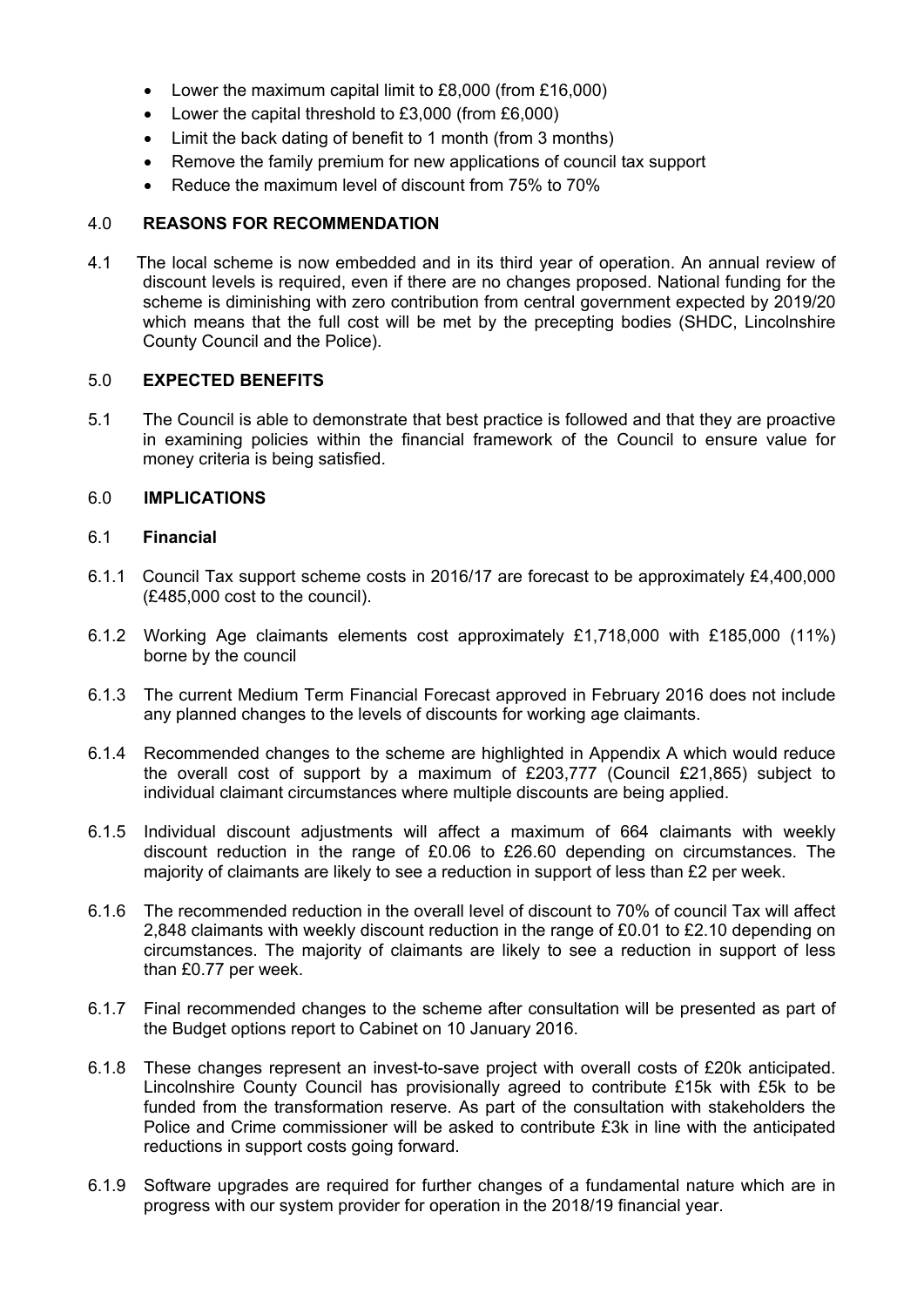- Lower the maximum capital limit to £8,000 (from £16,000)
- Lower the capital threshold to £3,000 (from £6,000)
- Limit the back dating of benefit to 1 month (from 3 months)
- Remove the family premium for new applications of council tax support
- Reduce the maximum level of discount from 75% to 70%

### 4.0 **REASONS FOR RECOMMENDATION**

4.1 The local scheme is now embedded and in its third year of operation. An annual review of discount levels is required, even if there are no changes proposed. National funding for the scheme is diminishing with zero contribution from central government expected by 2019/20 which means that the full cost will be met by the precepting bodies (SHDC, Lincolnshire County Council and the Police).

#### 5.0 **EXPECTED BENEFITS**

5.1 The Council is able to demonstrate that best practice is followed and that they are proactive in examining policies within the financial framework of the Council to ensure value for money criteria is being satisfied.

#### 6.0 **IMPLICATIONS**

### 6.1 **Financial**

- 6.1.1 Council Tax support scheme costs in 2016/17 are forecast to be approximately £4,400,000 (£485,000 cost to the council).
- 6.1.2 Working Age claimants elements cost approximately £1,718,000 with £185,000 (11%) borne by the council
- 6.1.3 The current Medium Term Financial Forecast approved in February 2016 does not include any planned changes to the levels of discounts for working age claimants.
- 6.1.4 Recommended changes to the scheme are highlighted in Appendix A which would reduce the overall cost of support by a maximum of £203,777 (Council £21,865) subject to individual claimant circumstances where multiple discounts are being applied.
- 6.1.5 Individual discount adjustments will affect a maximum of 664 claimants with weekly discount reduction in the range of £0.06 to £26.60 depending on circumstances. The majority of claimants are likely to see a reduction in support of less than £2 per week.
- 6.1.6 The recommended reduction in the overall level of discount to 70% of council Tax will affect 2,848 claimants with weekly discount reduction in the range of £0.01 to £2.10 depending on circumstances. The majority of claimants are likely to see a reduction in support of less than £0.77 per week.
- 6.1.7 Final recommended changes to the scheme after consultation will be presented as part of the Budget options report to Cabinet on 10 January 2016.
- 6.1.8 These changes represent an invest-to-save project with overall costs of £20k anticipated. Lincolnshire County Council has provisionally agreed to contribute £15k with £5k to be funded from the transformation reserve. As part of the consultation with stakeholders the Police and Crime commissioner will be asked to contribute £3k in line with the anticipated reductions in support costs going forward.
- 6.1.9 Software upgrades are required for further changes of a fundamental nature which are in progress with our system provider for operation in the 2018/19 financial year.